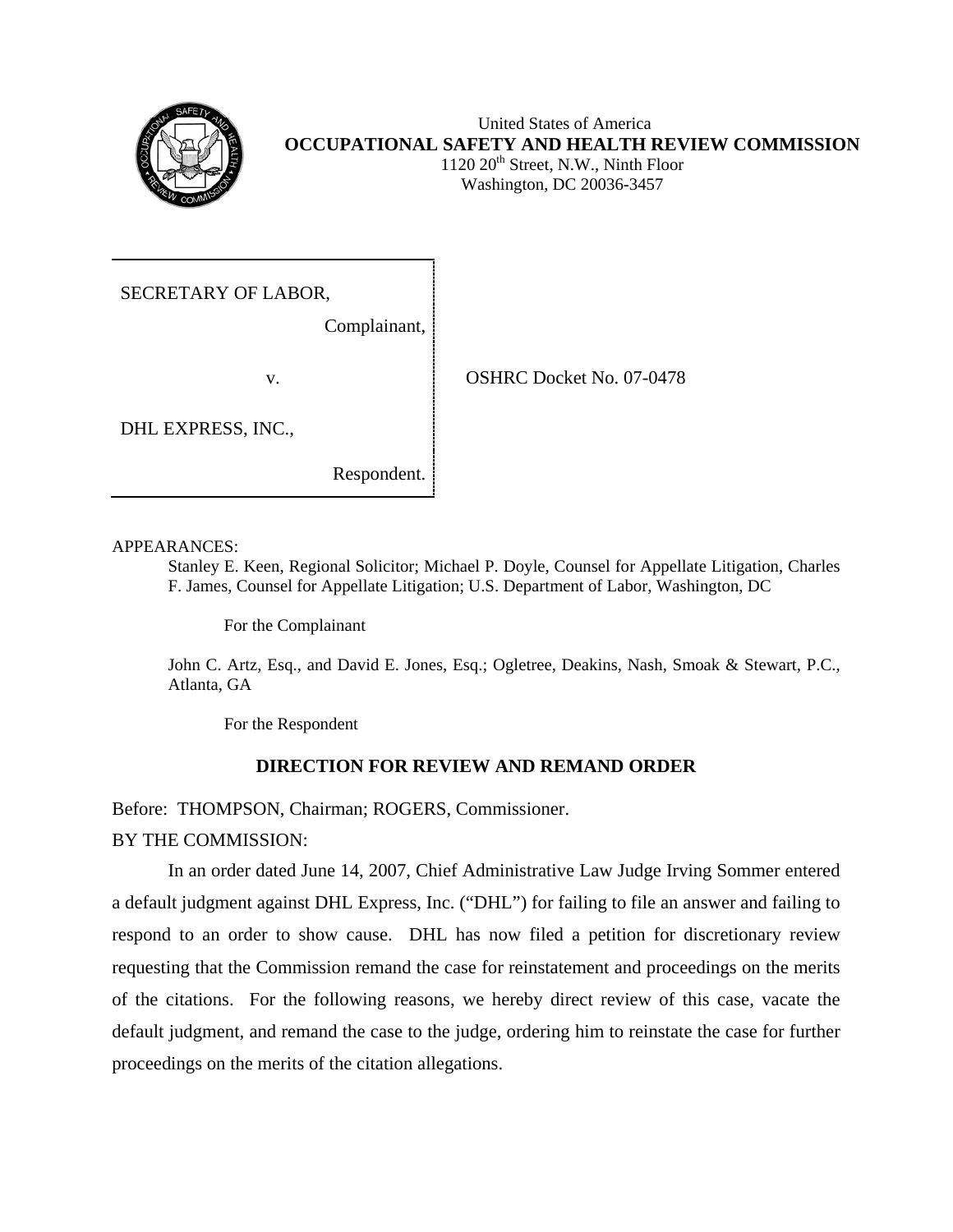

Washington, DC 20036-3457

SECRETARY OF LABOR,

Complainant, j

v. CSHRC Docket No. 07-0478

DHL EXPRESS, INC.,

Respondent.

APPEARANCES:

Stanley E. Keen, Regional Solicitor; Michael P. Doyle, Counsel for Appellate Litigation, Charles F. James, Counsel for Appellate Litigation; U.S. Department of Labor, Washington, DC

For the Complainant

John C. Artz, Esq., and David E. Jones, Esq.; Ogletree, Deakins, Nash, Smoak & Stewart, P.C., Atlanta, GA

For the Respondent

## **DIRECTION FOR REVIEW AND REMAND ORDER**

Before: THOMPSON, Chairman; ROGERS, Commissioner.

BY THE COMMISSION:

In an order dated June 14, 2007, Chief Administrative Law Judge Irving Sommer entered a default judgment against DHL Express, Inc. ("DHL") for failing to file an answer and failing to respond to an order to show cause. DHL has now filed a petition for discretionary review requesting that the Commission remand the case for reinstatement and proceedings on the merits of the citations. For the following reasons, we hereby direct review of this case, vacate the default judgment, and remand the case to the judge, ordering him to reinstate the case for further proceedings on the merits of the citation allegations.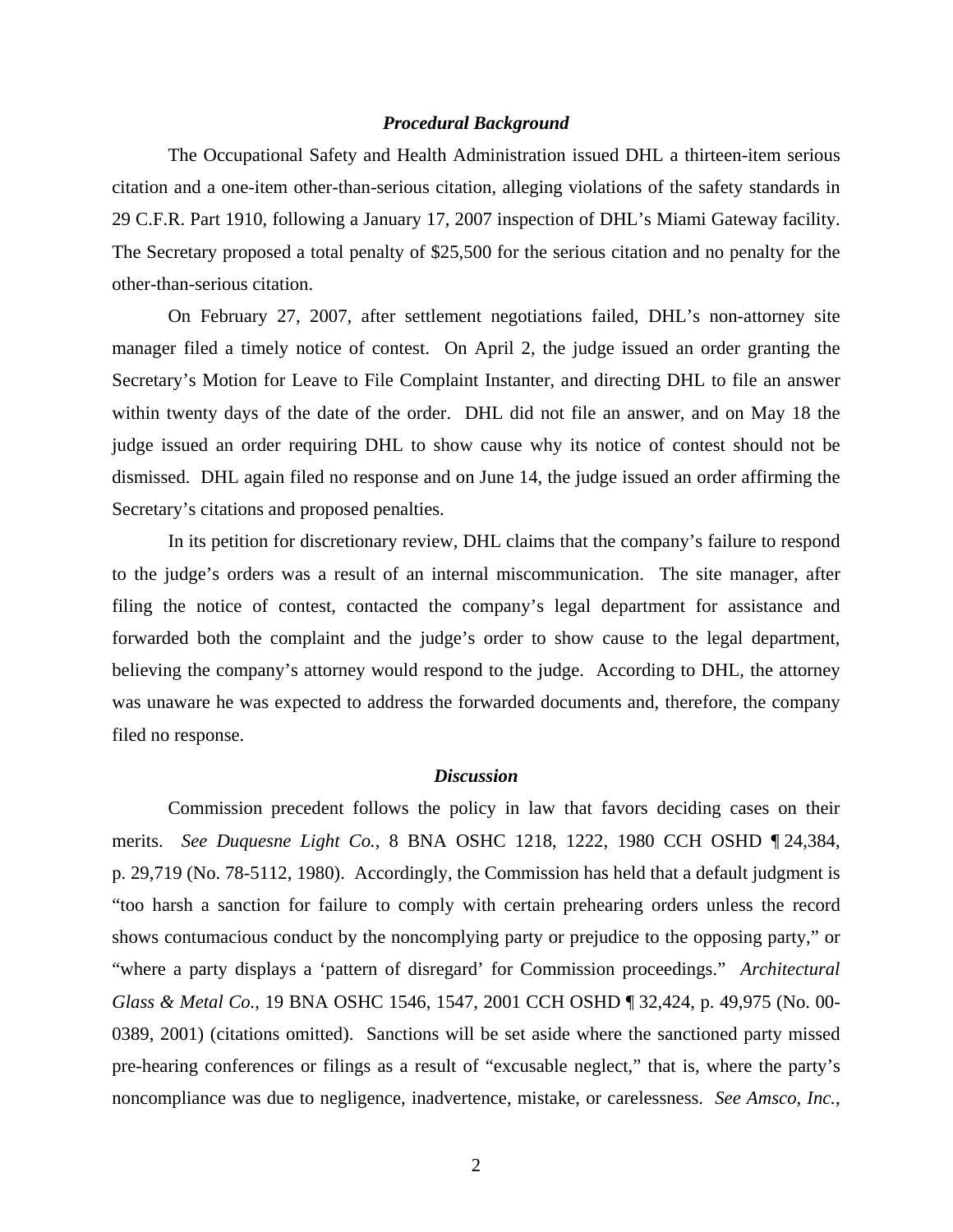## *Procedural Background*

The Occupational Safety and Health Administration issued DHL a thirteen-item serious citation and a one-item other-than-serious citation, alleging violations of the safety standards in 29 C.F.R. Part 1910, following a January 17, 2007 inspection of DHL's Miami Gateway facility. The Secretary proposed a total penalty of \$25,500 for the serious citation and no penalty for the other-than-serious citation.

On February 27, 2007, after settlement negotiations failed, DHL's non-attorney site manager filed a timely notice of contest. On April 2, the judge issued an order granting the Secretary's Motion for Leave to File Complaint Instanter, and directing DHL to file an answer within twenty days of the date of the order. DHL did not file an answer, and on May 18 the judge issued an order requiring DHL to show cause why its notice of contest should not be dismissed. DHL again filed no response and on June 14, the judge issued an order affirming the Secretary's citations and proposed penalties.

In its petition for discretionary review, DHL claims that the company's failure to respond to the judge's orders was a result of an internal miscommunication. The site manager, after filing the notice of contest, contacted the company's legal department for assistance and forwarded both the complaint and the judge's order to show cause to the legal department, believing the company's attorney would respond to the judge. According to DHL, the attorney was unaware he was expected to address the forwarded documents and, therefore, the company filed no response.

## *Discussion*

Commission precedent follows the policy in law that favors deciding cases on their merits. *See Duquesne Light Co.*, 8 BNA OSHC 1218, 1222, 1980 CCH OSHD ¶ 24,384, p. 29,719 (No. 78-5112, 1980). Accordingly, the Commission has held that a default judgment is "too harsh a sanction for failure to comply with certain prehearing orders unless the record shows contumacious conduct by the noncomplying party or prejudice to the opposing party," or "where a party displays a 'pattern of disregard' for Commission proceedings." *Architectural Glass & Metal Co.*, 19 BNA OSHC 1546, 1547, 2001 CCH OSHD ¶ 32,424, p. 49,975 (No. 00 0389, 2001) (citations omitted). Sanctions will be set aside where the sanctioned party missed pre-hearing conferences or filings as a result of "excusable neglect," that is, where the party's noncompliance was due to negligence, inadvertence, mistake, or carelessness. *See Amsco, Inc.*,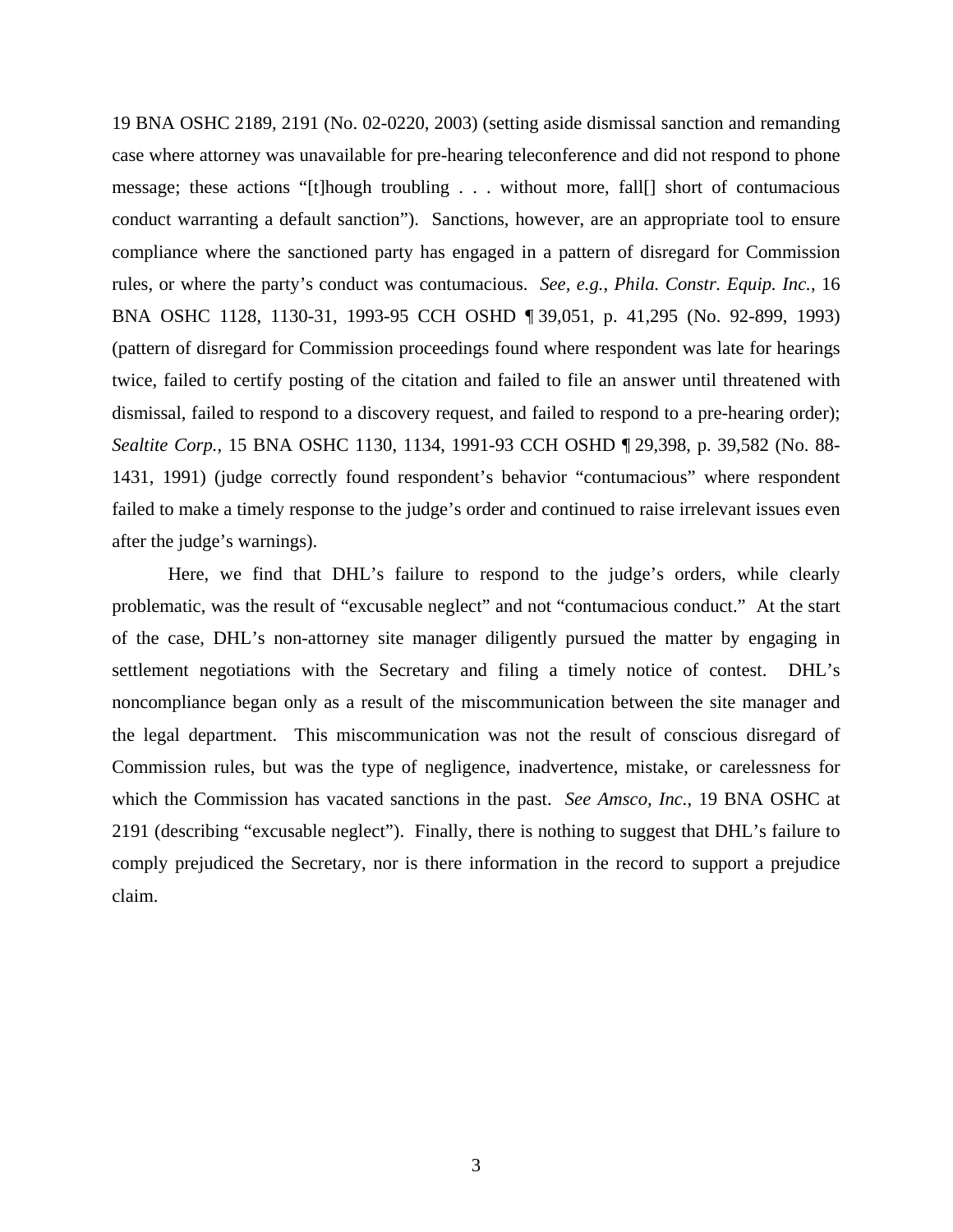19 BNA OSHC 2189, 2191 (No. 02-0220, 2003) (setting aside dismissal sanction and remanding case where attorney was unavailable for pre-hearing teleconference and did not respond to phone message; these actions "[t]hough troubling . . . without more, fall[] short of contumacious conduct warranting a default sanction"). Sanctions, however, are an appropriate tool to ensure compliance where the sanctioned party has engaged in a pattern of disregard for Commission rules, or where the party's conduct was contumacious. *See, e.g.*, *Phila. Constr. Equip. Inc.*, 16 BNA OSHC 1128, 1130-31, 1993-95 CCH OSHD ¶ 39,051, p. 41,295 (No. 92-899, 1993) (pattern of disregard for Commission proceedings found where respondent was late for hearings twice, failed to certify posting of the citation and failed to file an answer until threatened with dismissal, failed to respond to a discovery request, and failed to respond to a pre-hearing order); *Sealtite Corp.*, 15 BNA OSHC 1130, 1134, 1991-93 CCH OSHD ¶ 29,398, p. 39,582 (No. 88 1431, 1991) (judge correctly found respondent's behavior "contumacious" where respondent failed to make a timely response to the judge's order and continued to raise irrelevant issues even after the judge's warnings).

Here, we find that DHL's failure to respond to the judge's orders, while clearly problematic, was the result of "excusable neglect" and not "contumacious conduct." At the start of the case, DHL's non-attorney site manager diligently pursued the matter by engaging in settlement negotiations with the Secretary and filing a timely notice of contest. DHL's noncompliance began only as a result of the miscommunication between the site manager and the legal department. This miscommunication was not the result of conscious disregard of Commission rules, but was the type of negligence, inadvertence, mistake, or carelessness for which the Commission has vacated sanctions in the past. *See Amsco, Inc.*, 19 BNA OSHC at 2191 (describing "excusable neglect"). Finally, there is nothing to suggest that DHL's failure to comply prejudiced the Secretary, nor is there information in the record to support a prejudice claim.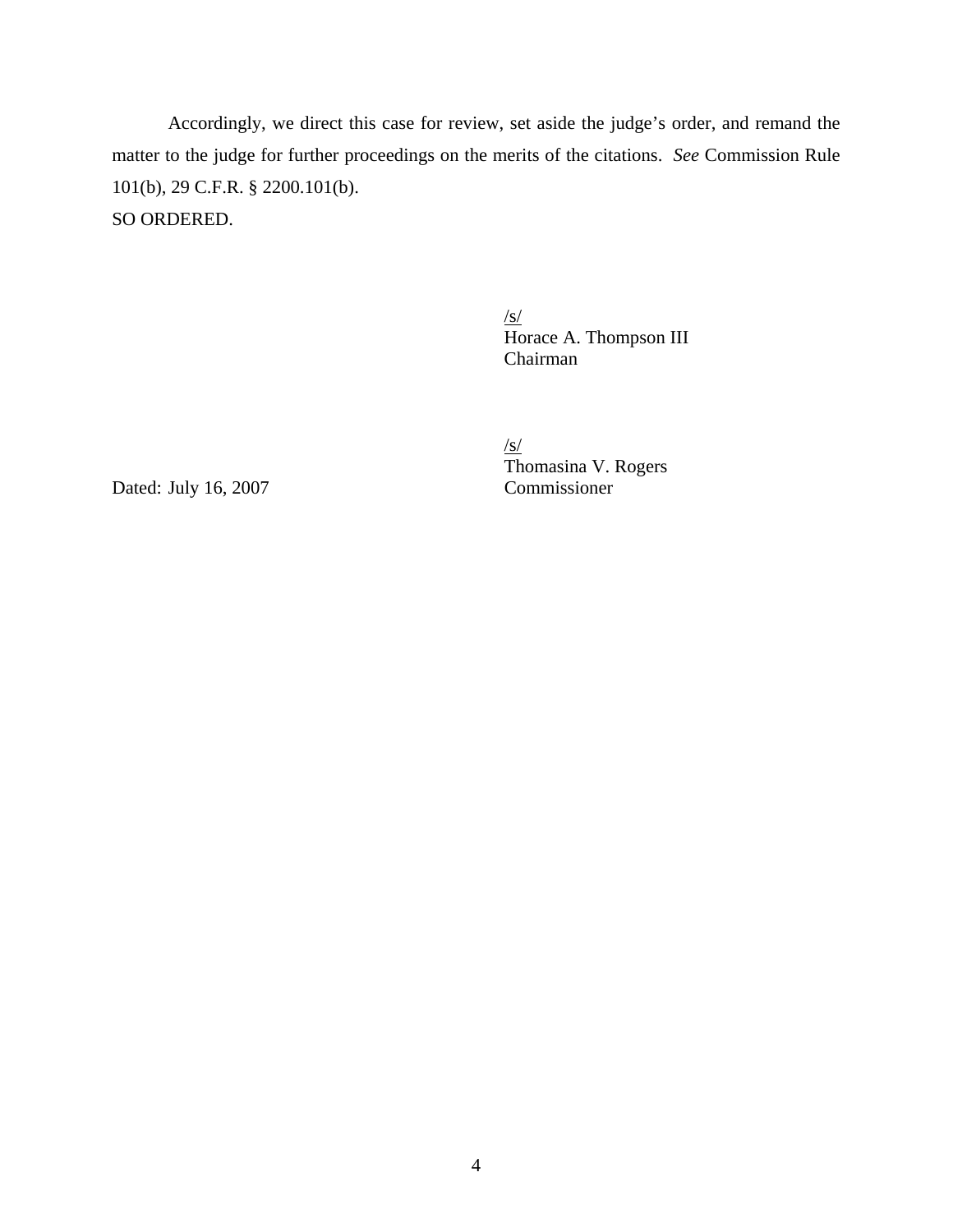Accordingly, we direct this case for review, set aside the judge's order, and remand the matter to the judge for further proceedings on the merits of the citations. *See* Commission Rule 101(b), 29 C.F.R. § 2200.101(b). SO ORDERED.

> $\sqrt{s/}$ Horace A. Thompson III Chairman

/s/ Thomasina V. Rogers

Dated: July 16, 2007 Commissioner